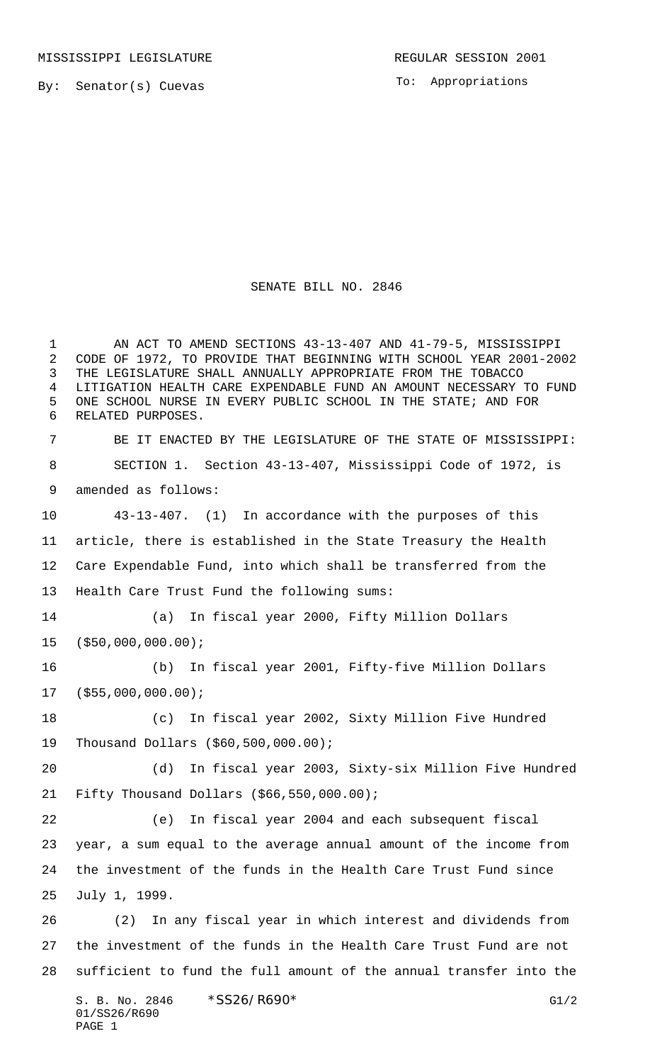By: Senator(s) Cuevas

To: Appropriations

## SENATE BILL NO. 2846

1 AN ACT TO AMEND SECTIONS 43-13-407 AND 41-79-5, MISSISSIPPI CODE OF 1972, TO PROVIDE THAT BEGINNING WITH SCHOOL YEAR 2001-2002 THE LEGISLATURE SHALL ANNUALLY APPROPRIATE FROM THE TOBACCO LITIGATION HEALTH CARE EXPENDABLE FUND AN AMOUNT NECESSARY TO FUND ONE SCHOOL NURSE IN EVERY PUBLIC SCHOOL IN THE STATE; AND FOR RELATED PURPOSES.

 BE IT ENACTED BY THE LEGISLATURE OF THE STATE OF MISSISSIPPI: SECTION 1. Section 43-13-407, Mississippi Code of 1972, is amended as follows:

 43-13-407. (1) In accordance with the purposes of this article, there is established in the State Treasury the Health Care Expendable Fund, into which shall be transferred from the Health Care Trust Fund the following sums:

 (a) In fiscal year 2000, Fifty Million Dollars (\$50,000,000.00);

 (b) In fiscal year 2001, Fifty-five Million Dollars (\$55,000,000.00);

 (c) In fiscal year 2002, Sixty Million Five Hundred Thousand Dollars (\$60,500,000.00);

 (d) In fiscal year 2003, Sixty-six Million Five Hundred Fifty Thousand Dollars (\$66,550,000.00);

 (e) In fiscal year 2004 and each subsequent fiscal year, a sum equal to the average annual amount of the income from the investment of the funds in the Health Care Trust Fund since July 1, 1999.

 (2) In any fiscal year in which interest and dividends from the investment of the funds in the Health Care Trust Fund are not sufficient to fund the full amount of the annual transfer into the

S. B. No. 2846 \* SS26/R690\* G1/2 01/SS26/R690 PAGE 1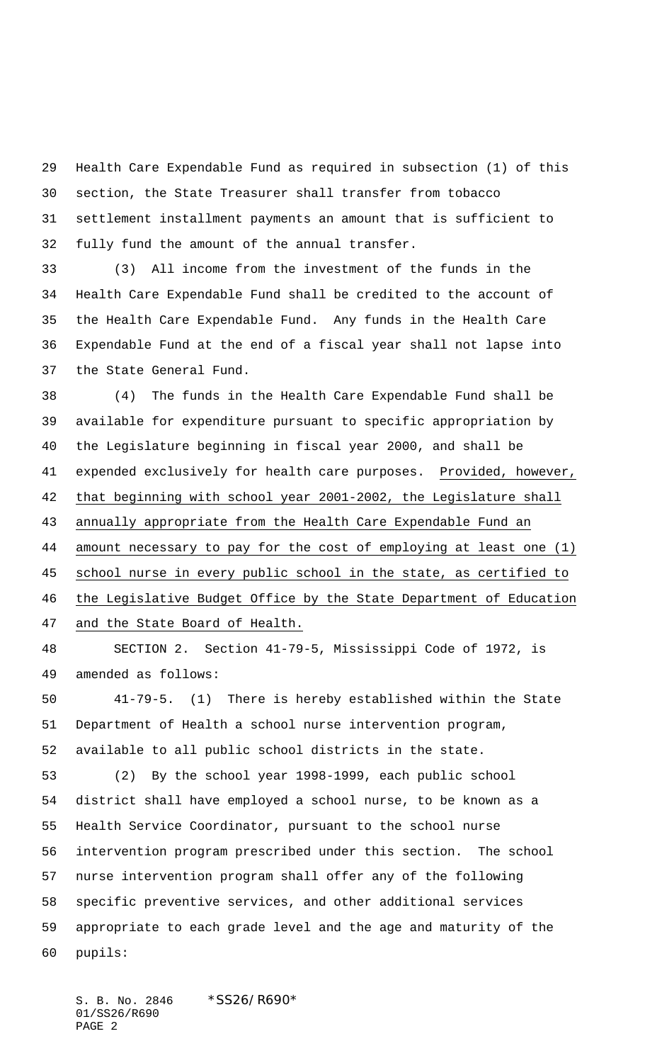Health Care Expendable Fund as required in subsection (1) of this section, the State Treasurer shall transfer from tobacco settlement installment payments an amount that is sufficient to fully fund the amount of the annual transfer.

 (3) All income from the investment of the funds in the Health Care Expendable Fund shall be credited to the account of the Health Care Expendable Fund. Any funds in the Health Care Expendable Fund at the end of a fiscal year shall not lapse into the State General Fund.

 (4) The funds in the Health Care Expendable Fund shall be available for expenditure pursuant to specific appropriation by the Legislature beginning in fiscal year 2000, and shall be 41 expended exclusively for health care purposes. Provided, however, that beginning with school year 2001-2002, the Legislature shall annually appropriate from the Health Care Expendable Fund an amount necessary to pay for the cost of employing at least one (1) school nurse in every public school in the state, as certified to the Legislative Budget Office by the State Department of Education and the State Board of Health.

 SECTION 2. Section 41-79-5, Mississippi Code of 1972, is amended as follows:

 41-79-5. (1) There is hereby established within the State Department of Health a school nurse intervention program, available to all public school districts in the state.

 (2) By the school year 1998-1999, each public school district shall have employed a school nurse, to be known as a Health Service Coordinator, pursuant to the school nurse intervention program prescribed under this section. The school nurse intervention program shall offer any of the following specific preventive services, and other additional services appropriate to each grade level and the age and maturity of the pupils:

S. B. No. 2846 \* SS26/R690\* 01/SS26/R690 PAGE 2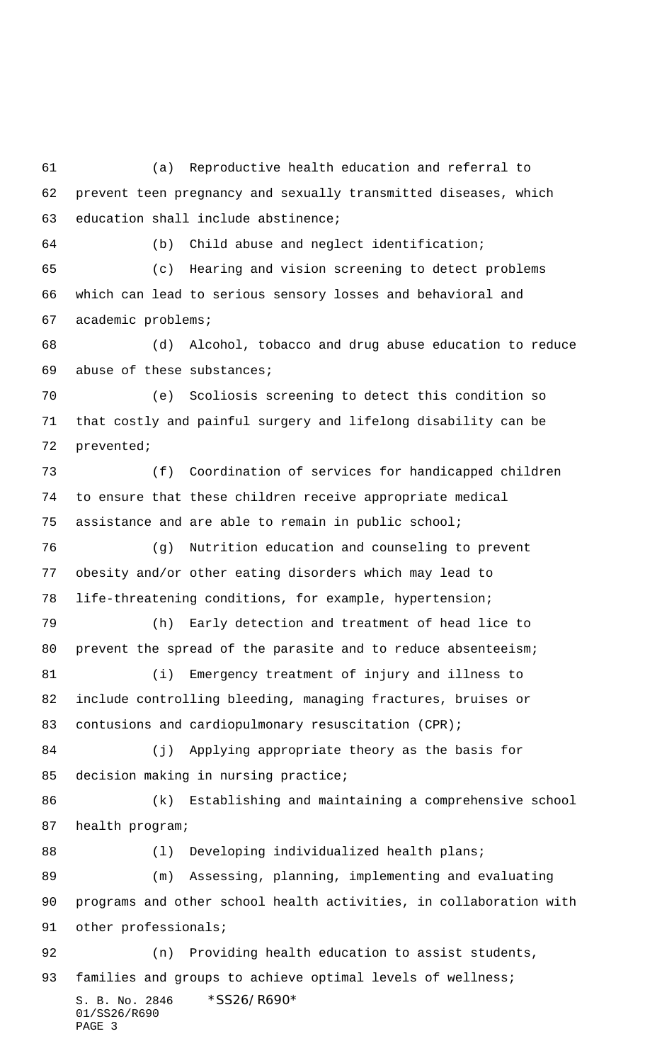S. B. No. 2846 \*SS26/R690\* 01/SS26/R690 (a) Reproductive health education and referral to prevent teen pregnancy and sexually transmitted diseases, which education shall include abstinence; (b) Child abuse and neglect identification; (c) Hearing and vision screening to detect problems which can lead to serious sensory losses and behavioral and academic problems; (e) Scoliosis screening to detect this condition so that costly and painful surgery and lifelong disability can be prevented; (f) Coordination of services for handicapped children to ensure that these children receive appropriate medical assistance and are able to remain in public school; (g) Nutrition education and counseling to prevent obesity and/or other eating disorders which may lead to life-threatening conditions, for example, hypertension; (h) Early detection and treatment of head lice to (i) Emergency treatment of injury and illness to include controlling bleeding, managing fractures, bruises or 83 contusions and cardiopulmonary resuscitation (CPR); (j) Applying appropriate theory as the basis for health program; 88 (1) Developing individualized health plans; (m) Assessing, planning, implementing and evaluating programs and other school health activities, in collaboration with 91 other professionals; (n) Providing health education to assist students, 93 families and groups to achieve optimal levels of wellness;

 (d) Alcohol, tobacco and drug abuse education to reduce abuse of these substances;

80 prevent the spread of the parasite and to reduce absenteeism;

85 decision making in nursing practice;

(k) Establishing and maintaining a comprehensive school

PAGE 3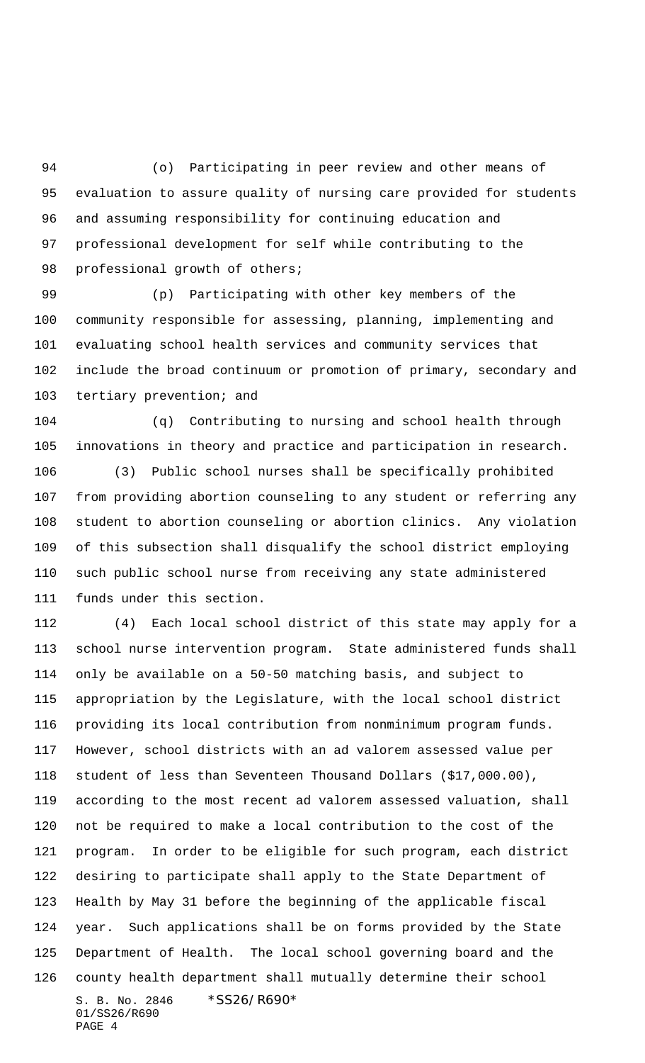(o) Participating in peer review and other means of evaluation to assure quality of nursing care provided for students and assuming responsibility for continuing education and professional development for self while contributing to the 98 professional growth of others;

 (p) Participating with other key members of the community responsible for assessing, planning, implementing and evaluating school health services and community services that include the broad continuum or promotion of primary, secondary and tertiary prevention; and

 (q) Contributing to nursing and school health through innovations in theory and practice and participation in research.

 (3) Public school nurses shall be specifically prohibited from providing abortion counseling to any student or referring any student to abortion counseling or abortion clinics. Any violation of this subsection shall disqualify the school district employing such public school nurse from receiving any state administered funds under this section.

S. B. No. 2846 \*SS26/R690\* 01/SS26/R690 PAGE 4 (4) Each local school district of this state may apply for a school nurse intervention program. State administered funds shall only be available on a 50-50 matching basis, and subject to appropriation by the Legislature, with the local school district providing its local contribution from nonminimum program funds. However, school districts with an ad valorem assessed value per student of less than Seventeen Thousand Dollars (\$17,000.00), according to the most recent ad valorem assessed valuation, shall not be required to make a local contribution to the cost of the program. In order to be eligible for such program, each district desiring to participate shall apply to the State Department of Health by May 31 before the beginning of the applicable fiscal year. Such applications shall be on forms provided by the State Department of Health. The local school governing board and the county health department shall mutually determine their school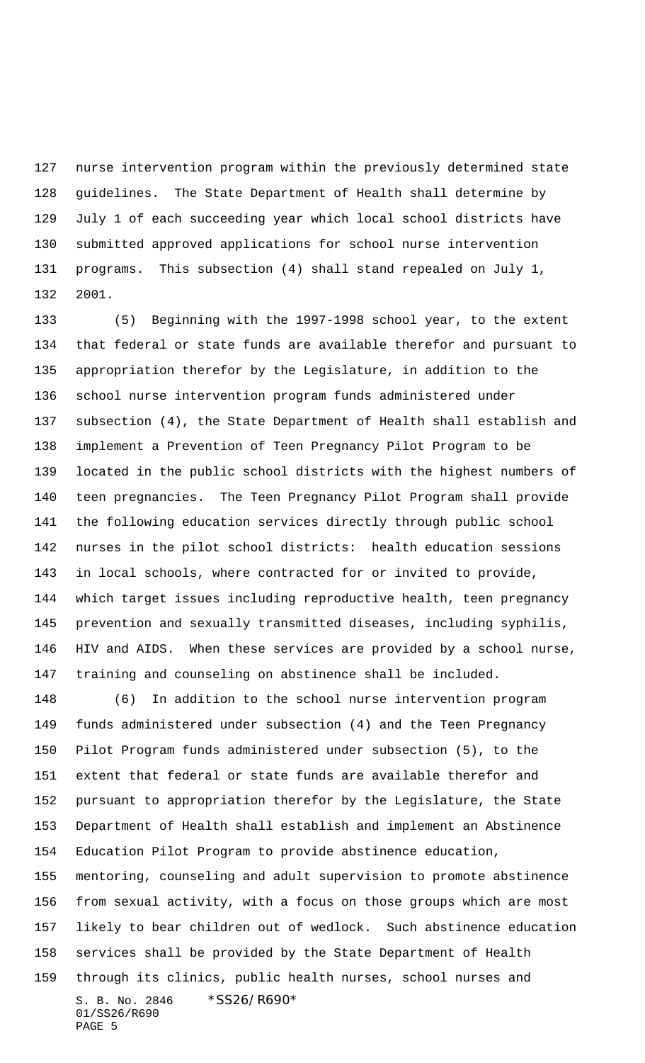nurse intervention program within the previously determined state guidelines. The State Department of Health shall determine by July 1 of each succeeding year which local school districts have submitted approved applications for school nurse intervention programs. This subsection (4) shall stand repealed on July 1, 2001.

 (5) Beginning with the 1997-1998 school year, to the extent that federal or state funds are available therefor and pursuant to appropriation therefor by the Legislature, in addition to the school nurse intervention program funds administered under subsection (4), the State Department of Health shall establish and implement a Prevention of Teen Pregnancy Pilot Program to be located in the public school districts with the highest numbers of teen pregnancies. The Teen Pregnancy Pilot Program shall provide the following education services directly through public school nurses in the pilot school districts: health education sessions in local schools, where contracted for or invited to provide, which target issues including reproductive health, teen pregnancy prevention and sexually transmitted diseases, including syphilis, HIV and AIDS. When these services are provided by a school nurse, training and counseling on abstinence shall be included.

 (6) In addition to the school nurse intervention program funds administered under subsection (4) and the Teen Pregnancy Pilot Program funds administered under subsection (5), to the extent that federal or state funds are available therefor and pursuant to appropriation therefor by the Legislature, the State Department of Health shall establish and implement an Abstinence Education Pilot Program to provide abstinence education,

S. B. No. 2846 \*SS26/R690\* mentoring, counseling and adult supervision to promote abstinence from sexual activity, with a focus on those groups which are most likely to bear children out of wedlock. Such abstinence education services shall be provided by the State Department of Health through its clinics, public health nurses, school nurses and

01/SS26/R690 PAGE 5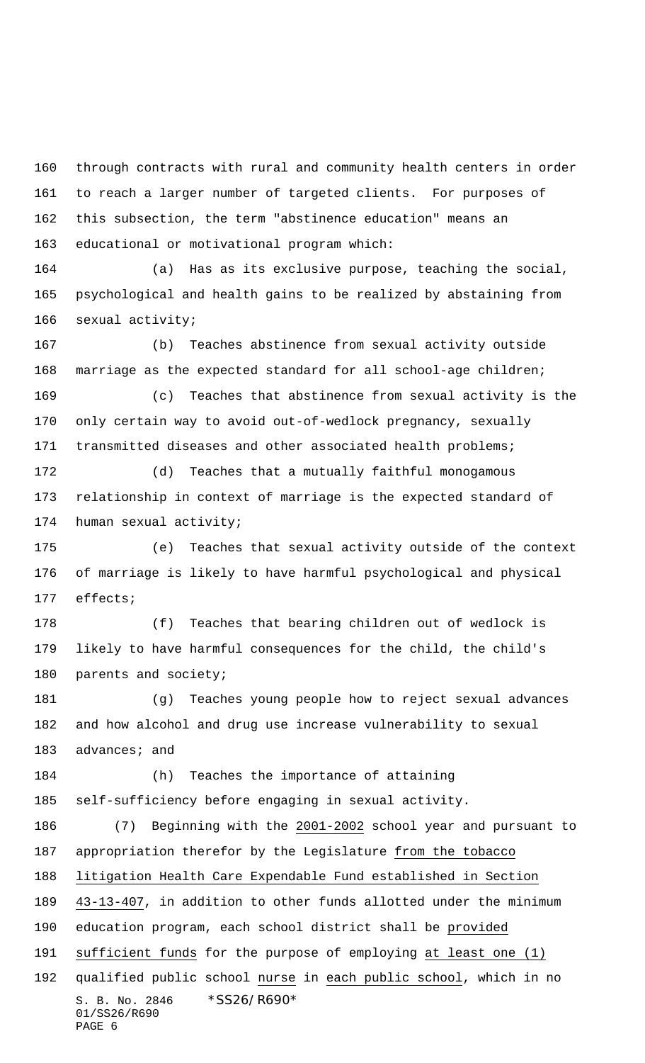through contracts with rural and community health centers in order to reach a larger number of targeted clients. For purposes of this subsection, the term "abstinence education" means an educational or motivational program which:

 (a) Has as its exclusive purpose, teaching the social, psychological and health gains to be realized by abstaining from sexual activity;

 (b) Teaches abstinence from sexual activity outside marriage as the expected standard for all school-age children; (c) Teaches that abstinence from sexual activity is the

 only certain way to avoid out-of-wedlock pregnancy, sexually transmitted diseases and other associated health problems;

 (d) Teaches that a mutually faithful monogamous relationship in context of marriage is the expected standard of human sexual activity;

 (e) Teaches that sexual activity outside of the context of marriage is likely to have harmful psychological and physical effects;

 (f) Teaches that bearing children out of wedlock is likely to have harmful consequences for the child, the child's parents and society;

 (g) Teaches young people how to reject sexual advances and how alcohol and drug use increase vulnerability to sexual 183 advances; and

 (h) Teaches the importance of attaining self-sufficiency before engaging in sexual activity.

S. B. No. 2846 \*SS26/R690\* 01/SS26/R690 PAGE 6 (7) Beginning with the 2001-2002 school year and pursuant to appropriation therefor by the Legislature from the tobacco litigation Health Care Expendable Fund established in Section 43-13-407, in addition to other funds allotted under the minimum education program, each school district shall be provided 191 sufficient funds for the purpose of employing at least one (1) 192 qualified public school nurse in each public school, which in no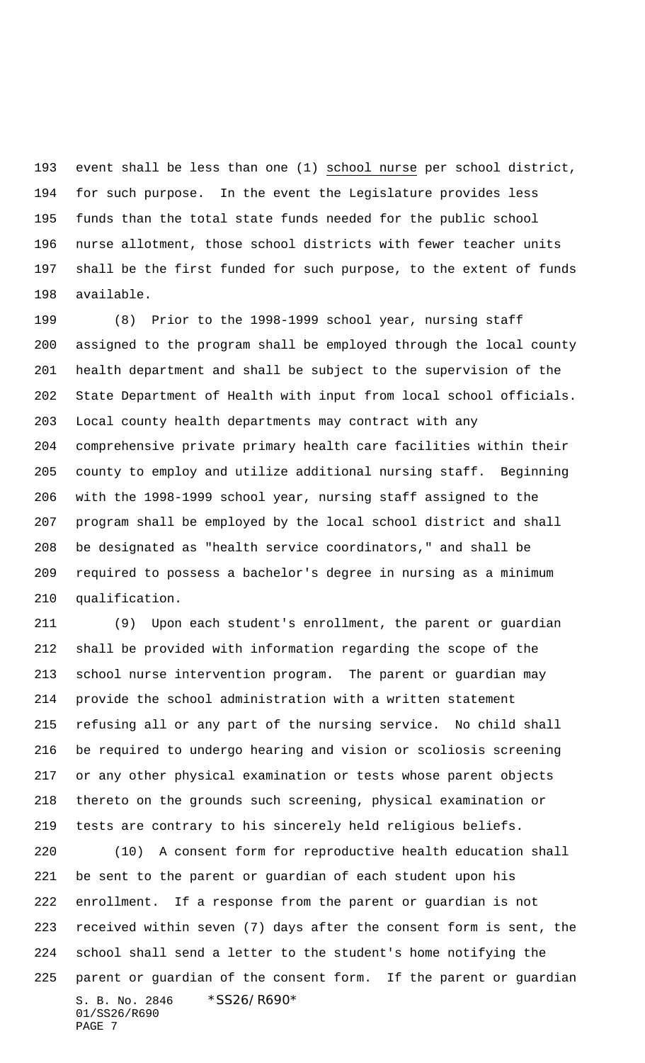event shall be less than one (1) school nurse per school district, for such purpose. In the event the Legislature provides less funds than the total state funds needed for the public school nurse allotment, those school districts with fewer teacher units shall be the first funded for such purpose, to the extent of funds available.

 (8) Prior to the 1998-1999 school year, nursing staff assigned to the program shall be employed through the local county health department and shall be subject to the supervision of the State Department of Health with input from local school officials. Local county health departments may contract with any comprehensive private primary health care facilities within their county to employ and utilize additional nursing staff. Beginning with the 1998-1999 school year, nursing staff assigned to the program shall be employed by the local school district and shall be designated as "health service coordinators," and shall be required to possess a bachelor's degree in nursing as a minimum qualification.

 (9) Upon each student's enrollment, the parent or guardian shall be provided with information regarding the scope of the school nurse intervention program. The parent or guardian may provide the school administration with a written statement refusing all or any part of the nursing service. No child shall be required to undergo hearing and vision or scoliosis screening or any other physical examination or tests whose parent objects thereto on the grounds such screening, physical examination or tests are contrary to his sincerely held religious beliefs.

S. B. No. 2846 \*SS26/R690\* 01/SS26/R690 PAGE 7 (10) A consent form for reproductive health education shall be sent to the parent or guardian of each student upon his enrollment. If a response from the parent or guardian is not received within seven (7) days after the consent form is sent, the school shall send a letter to the student's home notifying the parent or guardian of the consent form. If the parent or guardian